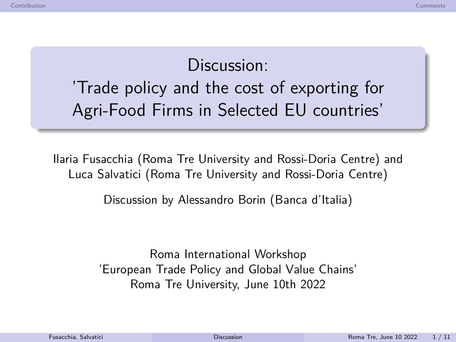# Discussion: 'Trade policy and the cost of exporting for Agri-Food Firms in Selected EU countries'

Ilaria Fusacchia (Roma Tre University and Rossi-Doria Centre) and Luca Salvatici (Roma Tre University and Rossi-Doria Centre)

Discussion by Alessandro Borin (Banca d'Italia)

<span id="page-0-0"></span>Roma International Workshop 'European Trade Policy and Global Value Chains' Roma Tre University, June 10th 2022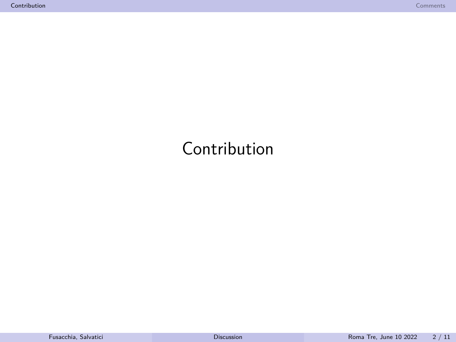# <span id="page-1-0"></span>Contribution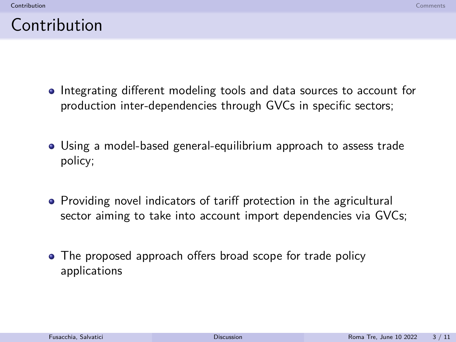#### Contribution

- Integrating different modeling tools and data sources to account for production inter-dependencies through GVCs in specific sectors;
- Using a model-based general-equilibrium approach to assess trade policy;
- Providing novel indicators of tariff protection in the agricultural sector aiming to take into account import dependencies via GVCs;
- The proposed approach offers broad scope for trade policy applications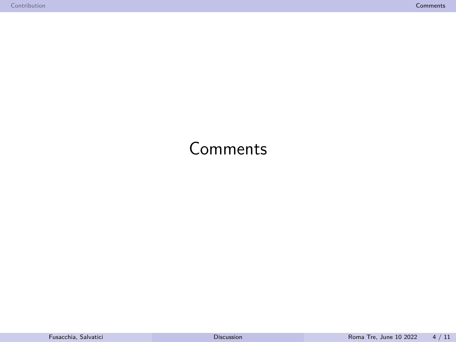#### <span id="page-3-0"></span>Comments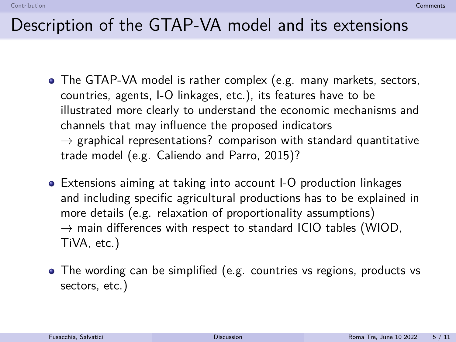- The GTAP-VA model is rather complex (e.g. many markets, sectors, countries, agents, I-O linkages, etc.), its features have to be illustrated more clearly to understand the economic mechanisms and channels that may influence the proposed indicators  $\rightarrow$  graphical representations? comparison with standard quantitative trade model (e.g. Caliendo and Parro, 2015)?
- Extensions aiming at taking into account I-O production linkages and including specific agricultural productions has to be explained in more details (e.g. relaxation of proportionality assumptions)  $\rightarrow$  main differences with respect to standard ICIO tables (WIOD, TiVA, etc.)
- The wording can be simplified (e.g. countries vs regions, products vs sectors, etc.)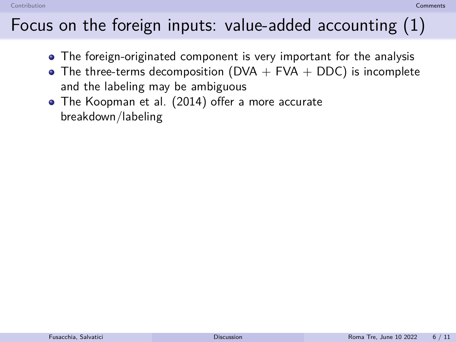[Contribution](#page-1-0) **[Comments](#page-3-0)** (Comments) and Comments (Comments) and Comments (Comments) and Comments (Comments (Comments

# Focus on the foreign inputs: value-added accounting (1)

- The foreign-originated component is very important for the analysis
- The three-terms decomposition (DVA  $+$  FVA  $+$  DDC) is incomplete and the labeling may be ambiguous they highlight that some trade flows are purely double-counted, as when intermedi-
- ative insering they be anning according to the Koopman et al. (2014) offer a more accurate breakdown/labeling  $\bullet$  The reception of al. (2014) once a more accurate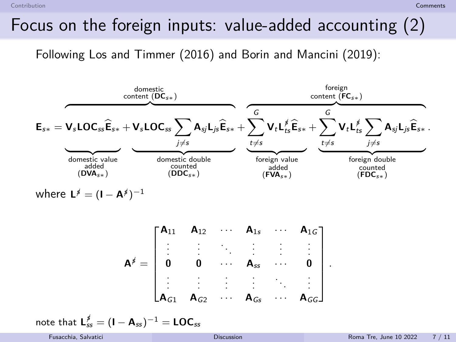[Contribution](#page-1-0) **[Comments](#page-3-0)** (Comments) and Comments (Comments) and Comments (Comments) and Comments (Comments (Comments

### Focus on the foreign inputs: value-added accounting (2)

Following Los and Timmer (2016) and Borin and Mancini (2019):



 $w$ here **L**<sup> $\neq$ </sup> = (**I** – **A**<sup> $\neq$ </sup>)<sup>-1</sup>

$$
A^{\not s}=\begin{bmatrix} A_{11} & A_{12} & \cdots & A_{1s} & \cdots & A_{1G} \\ \vdots & \vdots & \ddots & \vdots & \vdots & \vdots \\ 0 & 0 & \cdots & A_{ss} & \cdots & 0 \\ \vdots & \vdots & \vdots & \vdots & \ddots & \vdots \\ A_{G1} & A_{G2} & \cdots & A_{Gs} & \cdots & A_{GG} \end{bmatrix}
$$

$$
\text{note that } \textbf{L}_{ss}^{\cancel{s}} = (\textbf{I}-\textbf{A}_{ss})^{-1} = \textbf{LOC}_{ss}
$$

*.*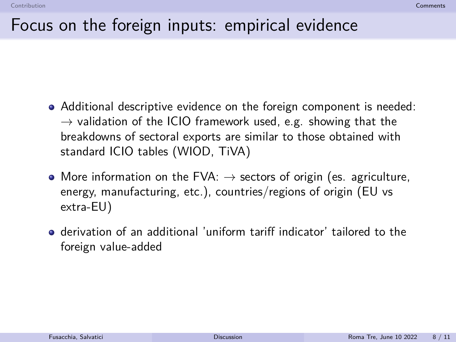#### Focus on the foreign inputs: empirical evidence

- Additional descriptive evidence on the foreign component is needed:  $\rightarrow$  validation of the ICIO framework used, e.g. showing that the breakdowns of sectoral exports are similar to those obtained with standard ICIO tables (WIOD, TiVA)
- More information on the FVA:  $\rightarrow$  sectors of origin (es. agriculture, energy, manufacturing, etc.), countries/regions of origin (EU vs extra-EU)
- derivation of an additional 'uniform tariff indicator' tailored to the foreign value-added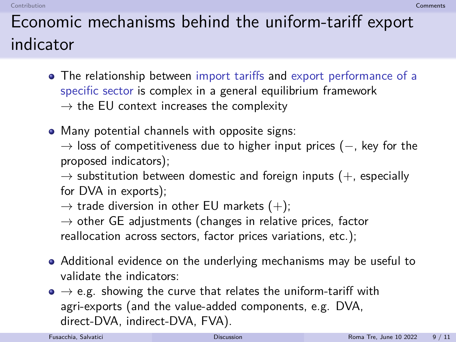#### [Contribution](#page-1-0) **[Comments](#page-3-0)** (Comments) and Comments (Comments) and Comments (Comments) and Comments (Comments (Comments

# Economic mechanisms behind the uniform-tariff export indicator

- The relationship between import tariffs and export performance of a specific sector is complex in a general equilibrium framework  $\rightarrow$  the EU context increases the complexity
- Many potential channels with opposite signs:

 $\rightarrow$  loss of competitiveness due to higher input prices ( $-$ , key for the proposed indicators);

 $\rightarrow$  substitution between domestic and foreign inputs (+, especially for DVA in exports);

 $\rightarrow$  trade diversion in other EU markets (+);

 $\rightarrow$  other GE adjustments (changes in relative prices, factor reallocation across sectors, factor prices variations, etc.);

- Additional evidence on the underlying mechanisms may be useful to validate the indicators:
- $\bullet \rightarrow e.g.$  showing the curve that relates the uniform-tariff with agri-exports (and the value-added components, e.g. DVA, direct-DVA, indirect-DVA, FVA).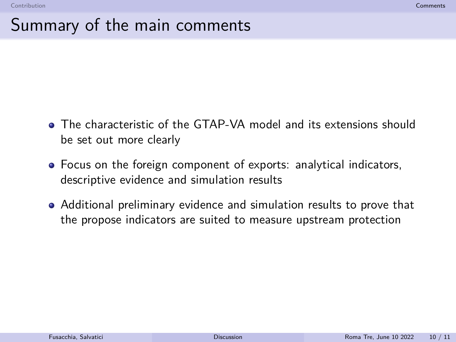#### Summary of the main comments

- The characteristic of the GTAP-VA model and its extensions should be set out more clearly
- Focus on the foreign component of exports: analytical indicators, descriptive evidence and simulation results
- Additional preliminary evidence and simulation results to prove that the propose indicators are suited to measure upstream protection